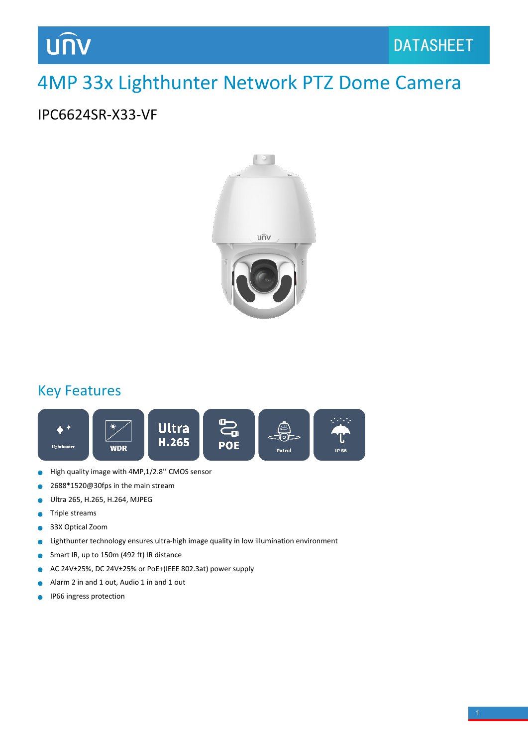### 4MP 33x Lighthunter Network PTZ Dome Camera

#### IPC6624SR-X33-VF



### Key Features



- High quality image with 4MP,1/2.8'' CMOS sensor  $\bullet$
- 2688\*1520@30fps in the main stream  $\bullet$
- Ultra 265, H.265, H.264, MJPEG  $\bullet$
- Triple streams  $\bullet$
- 33X Optical Zoom Ċ
- Lighthunter technology ensures ultra-high image quality in low illumination environment  $\bullet$
- Smart IR, up to 150m (492 ft) IR distance  $\bullet$
- AC 24V±25%, DC 24V±25% or PoE+(IEEE 802.3at) power supply  $\bullet$
- Alarm 2 in and 1 out, Audio 1 in and 1 out  $\bullet$
- IP66 ingress protection۸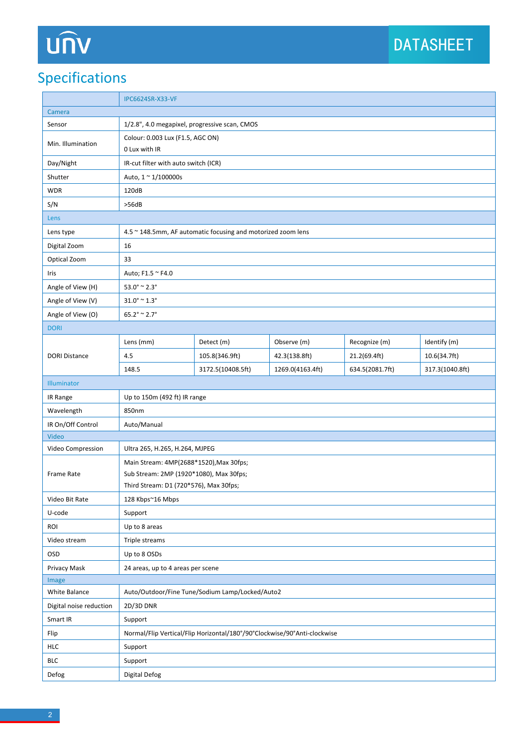# UN

### Specifications

|                         | <b>IPC6624SR-X33-VF</b>                                                  |                                               |                  |                 |                 |  |
|-------------------------|--------------------------------------------------------------------------|-----------------------------------------------|------------------|-----------------|-----------------|--|
| Camera                  |                                                                          |                                               |                  |                 |                 |  |
| Sensor                  |                                                                          | 1/2.8", 4.0 megapixel, progressive scan, CMOS |                  |                 |                 |  |
| Min. Illumination       | Colour: 0.003 Lux (F1.5, AGC ON)                                         |                                               |                  |                 |                 |  |
|                         | 0 Lux with IR                                                            |                                               |                  |                 |                 |  |
| Day/Night               | IR-cut filter with auto switch (ICR)                                     |                                               |                  |                 |                 |  |
| Shutter                 | Auto, 1 ~ 1/100000s                                                      |                                               |                  |                 |                 |  |
| <b>WDR</b>              | 120dB                                                                    |                                               |                  |                 |                 |  |
| S/N                     | >56dB                                                                    |                                               |                  |                 |                 |  |
| Lens                    |                                                                          |                                               |                  |                 |                 |  |
| Lens type               | 4.5 ~ 148.5mm, AF automatic focusing and motorized zoom lens             |                                               |                  |                 |                 |  |
| Digital Zoom            | 16                                                                       |                                               |                  |                 |                 |  |
| Optical Zoom            | 33                                                                       |                                               |                  |                 |                 |  |
| Iris                    | Auto; F1.5 ~ F4.0                                                        |                                               |                  |                 |                 |  |
| Angle of View (H)       | $53.0^{\circ} \cong 2.3^{\circ}$                                         |                                               |                  |                 |                 |  |
| Angle of View (V)       | $31.0^\circ$ ~ $1.3^\circ$                                               |                                               |                  |                 |                 |  |
| Angle of View (O)       | $65.2^{\circ} \approx 2.7^{\circ}$                                       |                                               |                  |                 |                 |  |
| <b>DORI</b>             |                                                                          |                                               |                  |                 |                 |  |
|                         | Lens (mm)                                                                | Detect (m)                                    | Observe (m)      | Recognize (m)   | Identify (m)    |  |
| <b>DORI Distance</b>    | 4.5                                                                      | 105.8(346.9ft)                                | 42.3(138.8ft)    | 21.2(69.4ft)    | 10.6(34.7ft)    |  |
|                         | 148.5                                                                    | 3172.5(10408.5ft)                             | 1269.0(4163.4ft) | 634.5(2081.7ft) | 317.3(1040.8ft) |  |
| Illuminator             |                                                                          |                                               |                  |                 |                 |  |
| IR Range                | Up to 150m (492 ft) IR range                                             |                                               |                  |                 |                 |  |
| Wavelength              | 850nm                                                                    |                                               |                  |                 |                 |  |
| IR On/Off Control       | Auto/Manual                                                              |                                               |                  |                 |                 |  |
| Video                   |                                                                          |                                               |                  |                 |                 |  |
| Video Compression       | Ultra 265, H.265, H.264, MJPEG                                           |                                               |                  |                 |                 |  |
|                         | Main Stream: 4MP(2688*1520), Max 30fps;                                  |                                               |                  |                 |                 |  |
| Frame Rate              | Sub Stream: 2MP (1920*1080), Max 30fps;                                  |                                               |                  |                 |                 |  |
|                         | Third Stream: D1 (720*576), Max 30fps;                                   |                                               |                  |                 |                 |  |
| Video Bit Rate          | 128 Kbps~16 Mbps                                                         |                                               |                  |                 |                 |  |
| U-code                  | Support                                                                  |                                               |                  |                 |                 |  |
| ROI                     | Up to 8 areas                                                            |                                               |                  |                 |                 |  |
| Video stream            | Triple streams                                                           |                                               |                  |                 |                 |  |
| OSD                     | Up to 8 OSDs                                                             |                                               |                  |                 |                 |  |
| Privacy Mask            | 24 areas, up to 4 areas per scene                                        |                                               |                  |                 |                 |  |
| Image                   |                                                                          |                                               |                  |                 |                 |  |
| White Balance           | Auto/Outdoor/Fine Tune/Sodium Lamp/Locked/Auto2                          |                                               |                  |                 |                 |  |
| Digital noise reduction | 2D/3D DNR                                                                |                                               |                  |                 |                 |  |
| Smart IR                | Support                                                                  |                                               |                  |                 |                 |  |
| Flip                    | Normal/Flip Vertical/Flip Horizontal/180°/90°Clockwise/90°Anti-clockwise |                                               |                  |                 |                 |  |
| <b>HLC</b>              | Support                                                                  |                                               |                  |                 |                 |  |
| <b>BLC</b>              | Support                                                                  |                                               |                  |                 |                 |  |
| Defog                   | Digital Defog                                                            |                                               |                  |                 |                 |  |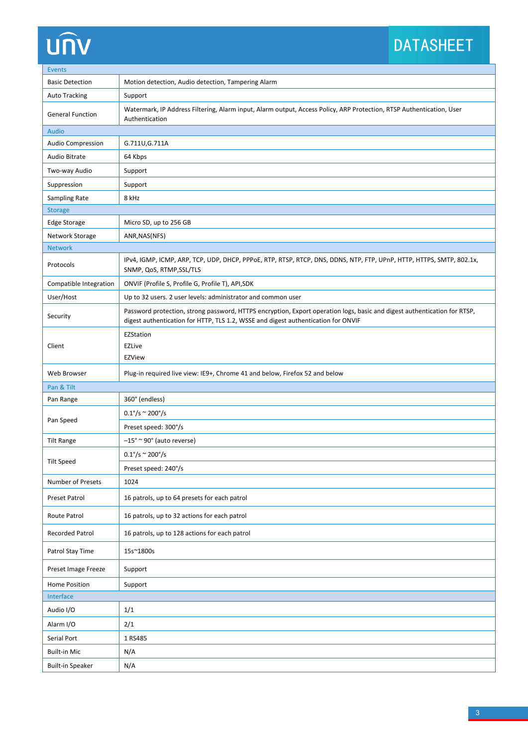# **UNV**

### DATASHEET

| <b>Events</b>            |                                                                                                                                                                                                               |  |  |  |  |
|--------------------------|---------------------------------------------------------------------------------------------------------------------------------------------------------------------------------------------------------------|--|--|--|--|
| <b>Basic Detection</b>   | Motion detection, Audio detection, Tampering Alarm                                                                                                                                                            |  |  |  |  |
| <b>Auto Tracking</b>     | Support                                                                                                                                                                                                       |  |  |  |  |
| <b>General Function</b>  | Watermark, IP Address Filtering, Alarm input, Alarm output, Access Policy, ARP Protection, RTSP Authentication, User<br>Authentication                                                                        |  |  |  |  |
| <b>Audio</b>             |                                                                                                                                                                                                               |  |  |  |  |
| <b>Audio Compression</b> | G.711U, G.711A                                                                                                                                                                                                |  |  |  |  |
| Audio Bitrate            | 64 Kbps                                                                                                                                                                                                       |  |  |  |  |
| Two-way Audio            | Support                                                                                                                                                                                                       |  |  |  |  |
| Suppression              | Support                                                                                                                                                                                                       |  |  |  |  |
| Sampling Rate            | 8 kHz                                                                                                                                                                                                         |  |  |  |  |
| <b>Storage</b>           |                                                                                                                                                                                                               |  |  |  |  |
| <b>Edge Storage</b>      | Micro SD, up to 256 GB                                                                                                                                                                                        |  |  |  |  |
| Network Storage          | ANR, NAS(NFS)                                                                                                                                                                                                 |  |  |  |  |
| <b>Network</b>           |                                                                                                                                                                                                               |  |  |  |  |
| Protocols                | IPv4, IGMP, ICMP, ARP, TCP, UDP, DHCP, PPPoE, RTP, RTSP, RTCP, DNS, DDNS, NTP, FTP, UPnP, HTTP, HTTPS, SMTP, 802.1x,<br>SNMP, QoS, RTMP, SSL/TLS                                                              |  |  |  |  |
| Compatible Integration   | ONVIF (Profile S, Profile G, Profile T), API, SDK                                                                                                                                                             |  |  |  |  |
| User/Host                | Up to 32 users. 2 user levels: administrator and common user                                                                                                                                                  |  |  |  |  |
| Security                 | Password protection, strong password, HTTPS encryption, Export operation logs, basic and digest authentication for RTSP,<br>digest authentication for HTTP, TLS 1.2, WSSE and digest authentication for ONVIF |  |  |  |  |
|                          | EZStation                                                                                                                                                                                                     |  |  |  |  |
| Client                   | EZLive                                                                                                                                                                                                        |  |  |  |  |
|                          | <b>EZView</b>                                                                                                                                                                                                 |  |  |  |  |
| Web Browser              | Plug-in required live view: IE9+, Chrome 41 and below, Firefox 52 and below                                                                                                                                   |  |  |  |  |
| Pan & Tilt               |                                                                                                                                                                                                               |  |  |  |  |
| Pan Range                | 360° (endless)                                                                                                                                                                                                |  |  |  |  |
| Pan Speed                | $0.1^{\circ}/s \approx 200^{\circ}/s$                                                                                                                                                                         |  |  |  |  |
|                          | Preset speed: 300°/s                                                                                                                                                                                          |  |  |  |  |
| <b>Tilt Range</b>        | $-15^{\circ}$ ~ 90° (auto reverse)                                                                                                                                                                            |  |  |  |  |
|                          | $0.1\degree$ /s ~ 200 $\degree$ /s                                                                                                                                                                            |  |  |  |  |
| <b>Tilt Speed</b>        | Preset speed: 240°/s                                                                                                                                                                                          |  |  |  |  |
| Number of Presets        | 1024                                                                                                                                                                                                          |  |  |  |  |
| Preset Patrol            | 16 patrols, up to 64 presets for each patrol                                                                                                                                                                  |  |  |  |  |
| Route Patrol             | 16 patrols, up to 32 actions for each patrol                                                                                                                                                                  |  |  |  |  |
| Recorded Patrol          | 16 patrols, up to 128 actions for each patrol                                                                                                                                                                 |  |  |  |  |
| Patrol Stay Time         | 15s~1800s                                                                                                                                                                                                     |  |  |  |  |
| Preset Image Freeze      | Support                                                                                                                                                                                                       |  |  |  |  |
| Home Position            | Support                                                                                                                                                                                                       |  |  |  |  |
| Interface                |                                                                                                                                                                                                               |  |  |  |  |
| Audio I/O                | 1/1                                                                                                                                                                                                           |  |  |  |  |
| Alarm I/O                | 2/1                                                                                                                                                                                                           |  |  |  |  |
| Serial Port              | 1 RS485                                                                                                                                                                                                       |  |  |  |  |
| <b>Built-in Mic</b>      | N/A                                                                                                                                                                                                           |  |  |  |  |
| <b>Built-in Speaker</b>  | N/A                                                                                                                                                                                                           |  |  |  |  |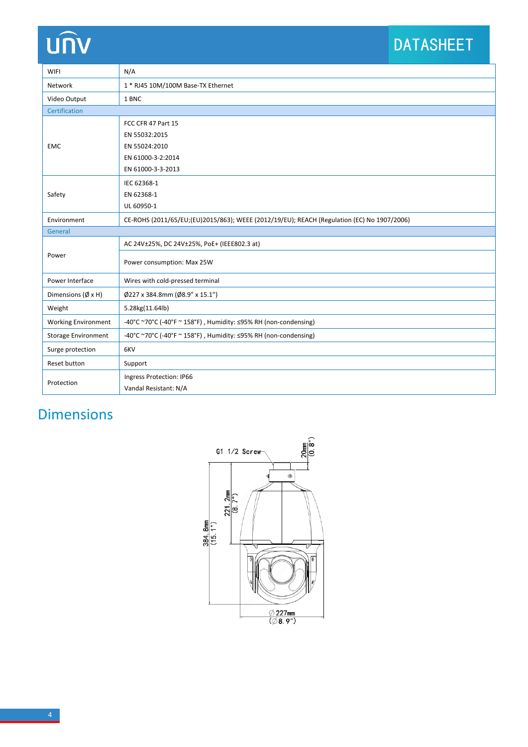## unv

### DATASHEET

| <b>WIFI</b>                | N/A                                                                                        |  |  |  |
|----------------------------|--------------------------------------------------------------------------------------------|--|--|--|
| Network                    | 1 * RJ45 10M/100M Base-TX Ethernet                                                         |  |  |  |
| Video Output               | 1 BNC                                                                                      |  |  |  |
| Certification              |                                                                                            |  |  |  |
| <b>EMC</b>                 | FCC CFR 47 Part 15                                                                         |  |  |  |
|                            | EN 55032:2015                                                                              |  |  |  |
|                            | EN 55024:2010                                                                              |  |  |  |
|                            | EN 61000-3-2:2014                                                                          |  |  |  |
|                            | EN 61000-3-3-2013                                                                          |  |  |  |
| Safety                     | IEC 62368-1                                                                                |  |  |  |
|                            | EN 62368-1                                                                                 |  |  |  |
|                            | UL 60950-1                                                                                 |  |  |  |
| Environment                | CE-ROHS (2011/65/EU;(EU)2015/863); WEEE (2012/19/EU); REACH (Regulation (EC) No 1907/2006) |  |  |  |
| General                    |                                                                                            |  |  |  |
| Power                      | AC 24V±25%, DC 24V±25%, PoE+ (IEEE802.3 at)                                                |  |  |  |
|                            | Power consumption: Max 25W                                                                 |  |  |  |
| Power Interface            | Wires with cold-pressed terminal                                                           |  |  |  |
| Dimensions (Ø x H)         | Ø227 x 384.8mm (Ø8.9" x 15.1")                                                             |  |  |  |
| Weight                     | 5.28kg(11.64lb)                                                                            |  |  |  |
| <b>Working Environment</b> | -40°C ~70°C (-40°F ~ 158°F), Humidity: ≤95% RH (non-condensing)                            |  |  |  |
| <b>Storage Environment</b> | -40°C ~70°C (-40°F ~ 158°F), Humidity: ≤95% RH (non-condensing)                            |  |  |  |
| Surge protection           | 6KV                                                                                        |  |  |  |
| Reset button               | Support                                                                                    |  |  |  |
| Protection                 | Ingress Protection: IP66                                                                   |  |  |  |
|                            | Vandal Resistant: N/A                                                                      |  |  |  |

### Dimensions